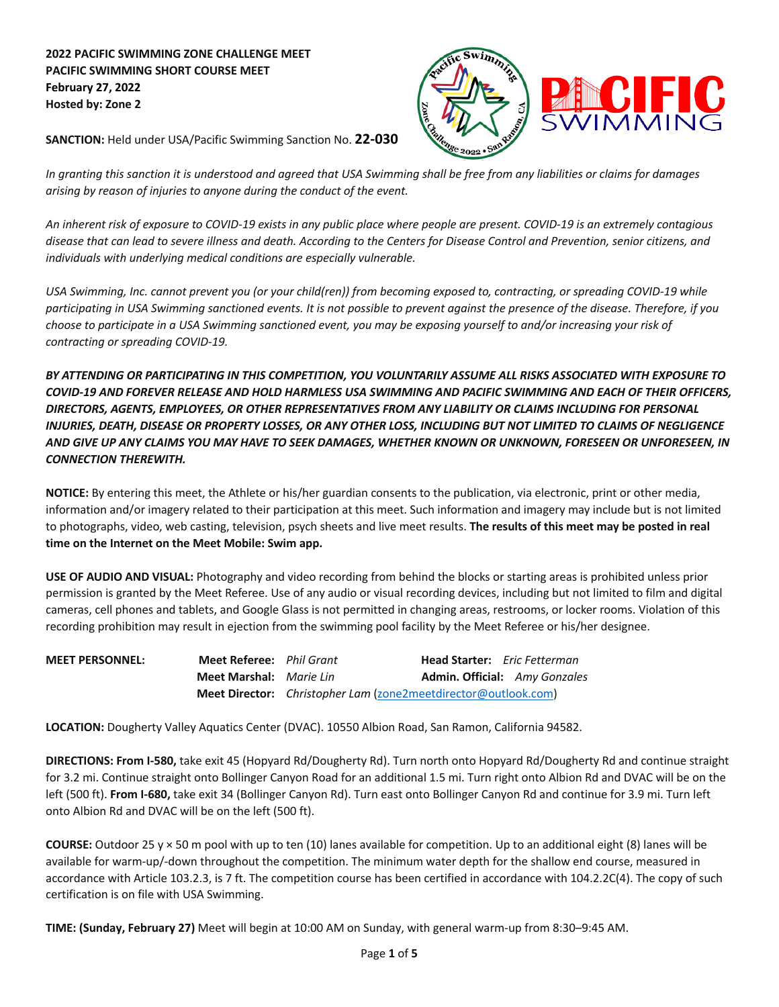## **2022 PACIFIC SWIMMING ZONE CHALLENGE MEET PACIFIC SWIMMING SHORT COURSE MEET February 27, 2022 Hosted by: Zone 2**



**SANCTION:** Held under USA/Pacific Swimming Sanction No. **22-030**

*In granting this sanction it is understood and agreed that USA Swimming shall be free from any liabilities or claims for damages arising by reason of injuries to anyone during the conduct of the event.*

*An inherent risk of exposure to COVID- 19 exists in any public place where people are present. COVID- 19 is an extremely contagious disease that can lead to severe illness and death. According to the Centers for Disease Control and Prevention, senior citizens, and individuals with underlying medical conditions are especially vulnerable.*

*USA Swimming, Inc. cannot prevent you (or your child(ren)) from becoming exposed to, contracting, or spreading COVID- 19 while participating in USA Swimming sanctioned events. It is not possible to prevent against the presence of the disease. Therefore, if you choose to participate in a USA Swimming sanctioned event, you may be exposing yourself to and/or increasing your risk of contracting or spreading COVID- 19.*

*BY ATTENDING OR PARTICIPATING IN THIS COMPETITION, YOU VOLUNTARILY ASSUME ALL RISKS ASSOCIATED WITH EXPOSURE TO COVID- 19 AND FOREVER RELEASE AND HOLD HARMLESS USA SWIMMING AND PACIFIC SWIMMING AND EACH OF THEIR OFFICERS, DIRECTORS, AGENTS, EMPLOYEES, OR OTHER REPRESENTATIVES FROM ANY LIABILITY OR CLAIMS INCLUDING FOR PERSONAL INJURIES, DEATH, DISEASE OR PROPERTY LOSSES, OR ANY OTHER LOSS, INCLUDING BUT NOT LIMITED TO CLAIMS OF NEGLIGENCE AND GIVE UP ANY CLAIMS YOU MAY HAVE TO SEEK DAMAGES, WHETHER KNOWN OR UNKNOWN, FORESEEN OR UNFORESEEN, IN CONNECTION THEREWITH.*

**NOTICE:** By entering this meet, the Athlete or his/her guardian consents to the publication, via electronic, print or other media, information and/or imagery related to their participation at this meet. Such information and imagery may include but is not limited to photographs, video, web casting, television, psych sheets and live meet results. **The results of this meet may be posted in real time on the Internet on the Meet Mobile: Swim app.**

**USE OF AUDIO AND VISUAL:** Photography and video recording from behind the blocks or starting areas is prohibited unless prior permission is granted by the Meet Referee. Use of any audio or visual recording devices, including but not limited to film and digital cameras, cell phones and tablets, and Google Glass is not permitted in changing areas, restrooms, or locker rooms. Violation of this recording prohibition may result in ejection from the swimming pool facility by the Meet Referee or his/her designee.

| <b>MEET PERSONNEL:</b> | <b>Meet Referee:</b> Phil Grant |                                                                       | <b>Head Starter:</b> Eric Fetterman |                                      |
|------------------------|---------------------------------|-----------------------------------------------------------------------|-------------------------------------|--------------------------------------|
|                        | <b>Meet Marshal:</b> Marie Lin  |                                                                       |                                     | <b>Admin. Official:</b> Amy Gonzales |
|                        |                                 | <b>Meet Director:</b> Christopher Lam (zone2meetdirector@outlook.com) |                                     |                                      |

**LOCATION:** Dougherty Valley Aquatics Center (DVAC). 10550 Albion Road, San Ramon, California 94582.

**DIRECTIONS: From I-580,** take exit 45 (Hopyard Rd/Dougherty Rd). Turn north onto Hopyard Rd/Dougherty Rd and continue straight for 3.2 mi. Continue straight onto Bollinger Canyon Road for an additional 1.5 mi. Turn right onto Albion Rd and DVAC will be on the left (500 ft). **From I-680,** take exit 34 (Bollinger Canyon Rd). Turn east onto Bollinger Canyon Rd and continue for 3.9 mi. Turn left onto Albion Rd and DVAC will be on the left (500 ft).

**COURSE:** Outdoor 25 y × 50 m pool with up to ten (10) lanes available for competition. Up to an additional eight (8) lanes will be available for warm-up/-down throughout the competition. The minimum water depth for the shallow end course, measured in accordance with Article 103.2.3, is 7 ft. The competition course has been certified in accordance with 104.2.2C(4). The copy of such certification is on file with USA Swimming.

**TIME: (Sunday, February 27)** Meet will begin at 10:00 AM on Sunday, with general warm-up from 8:30–9:45 AM.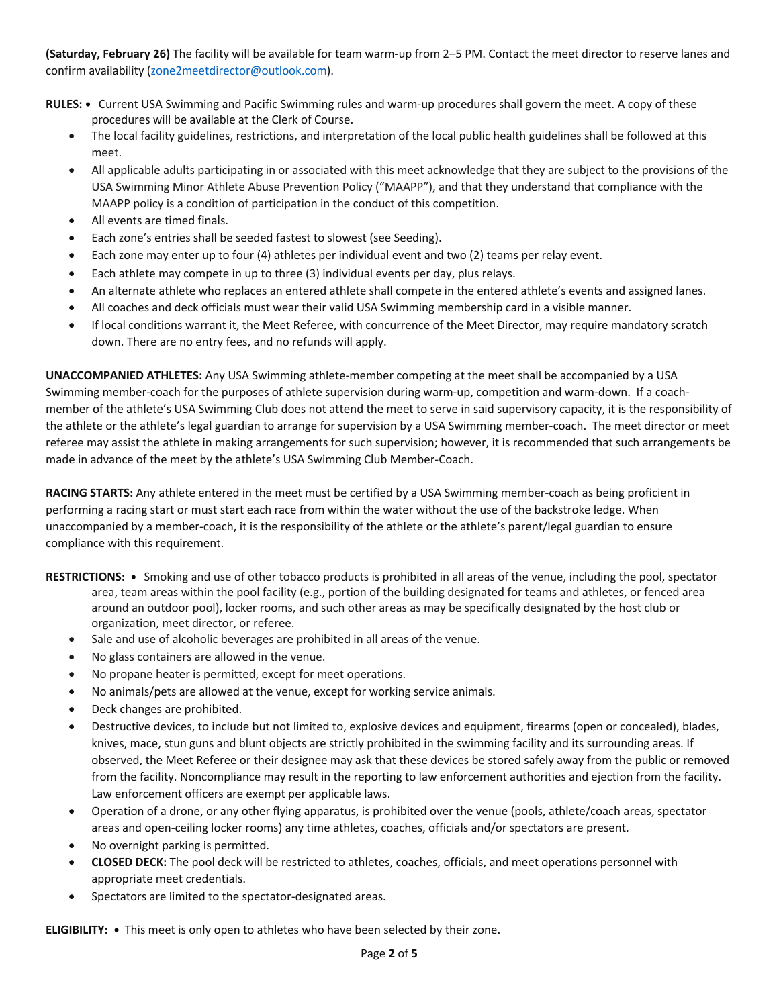**(Saturday, February 26)** The facility will be available for team warm-up from 2–5 PM. Contact the meet director to reserve lanes and confirm availability (zone2meetdirector@outlook.com).

- **RULES:** Current USA Swimming and Pacific Swimming rules and warm-up procedures shall govern the meet. A copy of these procedures will be available at the Clerk of Course.
	- The local facility guidelines, restrictions, and interpretation of the local public health guidelines shall be followed at this meet.
	- All applicable adults participating in or associated with this meet acknowledge that they are subject to the provisions of the USA Swimming Minor Athlete Abuse Prevention Policy ("MAAPP"), and that they understand that compliance with the MAAPP policy is a condition of participation in the conduct of this competition.
	- All events are timed finals.
	- Each zone's entries shall be seeded fastest to slowest (see Seeding).
	- Each zone may enter up to four (4) athletes per individual event and two (2) teams per relay event.
	- Each athlete may compete in up to three (3) individual events per day, plus relays.
	- An alternate athlete who replaces an entered athlete shall compete in the entered athlete's events and assigned lanes.
	- All coaches and deck officials must wear their valid USA Swimming membership card in a visible manner.
	- If local conditions warrant it, the Meet Referee, with concurrence of the Meet Director, may require mandatory scratch down. There are no entry fees, and no refunds will apply.

**UNACCOMPANIED ATHLETES:** Any USA Swimming athlete-member competing at the meet shall be accompanied by a USA Swimming member-coach for the purposes of athlete supervision during warm-up, competition and warm-down. If a coachmember of the athlete's USA Swimming Club does not attend the meet to serve in said supervisory capacity, it is the responsibility of the athlete or the athlete's legal guardian to arrange for supervision by a USA Swimming member-coach. The meet director or meet referee may assist the athlete in making arrangements for such supervision; however, it is recommended that such arrangements be made in advance of the meet by the athlete's USA Swimming Club Member-Coach.

**RACING STARTS:** Any athlete entered in the meet must be certified by a USA Swimming member-coach as being proficient in performing a racing start or must start each race from within the water without the use of the backstroke ledge. When unaccompanied by a member-coach, it is the responsibility of the athlete or the athlete's parent/legal guardian to ensure compliance with this requirement.

- **RESTRICTIONS:** Smoking and use of other tobacco products is prohibited in all areas of the venue, including the pool, spectator area, team areas within the pool facility (e.g., portion of the building designated for teams and athletes, or fenced area around an outdoor pool), locker rooms, and such other areas as may be specifically designated by the host club or organization, meet director, or referee.
	- Sale and use of alcoholic beverages are prohibited in all areas of the venue.
	- No glass containers are allowed in the venue.
	- No propane heater is permitted, except for meet operations.
	- No animals/pets are allowed at the venue, except for working service animals.
	- Deck changes are prohibited.
	- Destructive devices, to include but not limited to, explosive devices and equipment, firearms (open or concealed), blades, knives, mace, stun guns and blunt objects are strictly prohibited in the swimming facility and its surrounding areas. If observed, the Meet Referee or their designee may ask that these devices be stored safely away from the public or removed from the facility. Noncompliance may result in the reporting to law enforcement authorities and ejection from the facility. Law enforcement officers are exempt per applicable laws.
	- Operation of a drone, or any other flying apparatus, is prohibited over the venue (pools, athlete/coach areas, spectator areas and open-ceiling locker rooms) any time athletes, coaches, officials and/or spectators are present.
	- No overnight parking is permitted.
	- **CLOSED DECK:** The pool deck will be restricted to athletes, coaches, officials, and meet operations personnel with appropriate meet credentials.
	- Spectators are limited to the spectator-designated areas.

**ELIGIBILITY: •** This meet is only open to athletes who have been selected by their zone.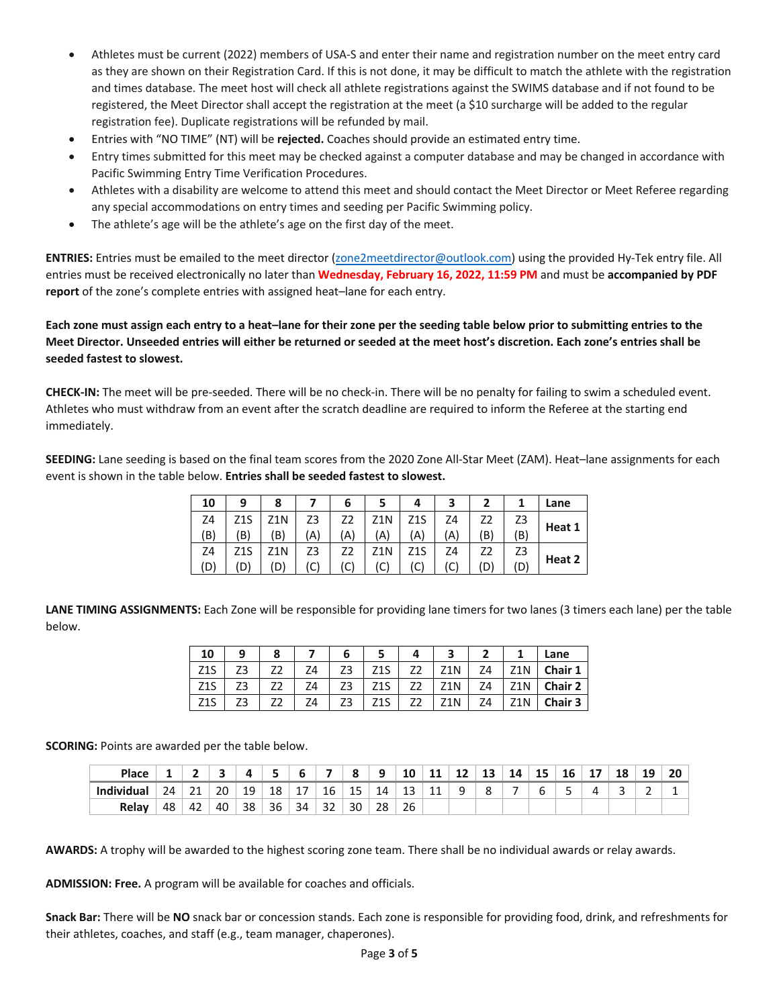- Athletes must be current (2022) members of USA-S and enter their name and registration number on the meet entry card as they are shown on their Registration Card. If this is not done, it may be difficult to match the athlete with the registration and times database. The meet host will check all athlete registrations against the SWIMS database and if not found to be registered, the Meet Director shall accept the registration at the meet (a \$10 surcharge will be added to the regular registration fee). Duplicate registrations will be refunded by mail.
- Entries with "NO TIME" (NT) will be **rejected.** Coaches should provide an estimated entry time.
- Entry times submitted for this meet may be checked against a computer database and may be changed in accordance with Pacific Swimming Entry Time Verification Procedures.
- Athletes with a disability are welcome to attend this meet and should contact the Meet Director or Meet Referee regarding any special accommodations on entry times and seeding per Pacific Swimming policy.
- The athlete's age will be the athlete's age on the first day of the meet.

**ENTRIES:** Entries must be emailed to the meet director (zone2meetdirector@outlook.com) using the provided Hy-Tek entry file. All entries must be received electronically no later than **Wednesday, February 16, 2022, 11:59 PM** and must be **accompanied by PDF report** of the zone's complete entries with assigned heat–lane for each entry.

**Each zone must assign each entry to a heat–lane for their zone per the seeding table below prior to submitting entries to the Meet Director. Unseeded entries will either be returned or seeded at the meet host's discretion. Each zone's entries shall be seeded fastest to slowest.**

**CHECK-IN:** The meet will be pre-seeded. There will be no check-in. There will be no penalty for failing to swim a scheduled event. Athletes who must withdraw from an event after the scratch deadline are required to inform the Referee at the starting end immediately.

**SEEDING:** Lane seeding is based on the final team scores from the 2020 Zone All-Star Meet (ZAM). Heat–lane assignments for each event is shown in the table below. **Entries shall be seeded fastest to slowest.**

| 10  | 9   | 8   |    | 6  | 5   |     | 3  | ר  |     | Lane   |
|-----|-----|-----|----|----|-----|-----|----|----|-----|--------|
| Z4  | Z1S | 71N | Z3 | Z2 | Z1N | Z1S | Z4 | Z2 | Z3  |        |
| (B) | 'B) | ΈB) | Ά  | A) | (A) | Α   | A) | B) | (B) | Heat 1 |
| Z4  | Z1S | 71N | Z3 |    | Z1N |     | Ζ4 |    | Z3  |        |
| (D  | (D) | (D  | C) | C) | (C) | C'، |    | D  | (D) | Heat 2 |

LANE TIMING ASSIGNMENTS: Each Zone will be responsible for providing lane timers for two lanes (3 timers each lane) per the table below.

| 10               | a  | 8 |    |     | ີ   |    |     | Lane           |
|------------------|----|---|----|-----|-----|----|-----|----------------|
| Z1S              | Z3 |   | 74 | Z1S | Z1N | Ζ4 | 71N | Chair 1        |
| Z <sub>1</sub> S | Z3 |   | Ζ4 | Z1S | Z1N | Ζ4 | 71N | <b>Chair 2</b> |
| Z1S              | Z3 |   | 74 | Z1S | Z1N | Ζ4 | Z1N | <b>Chair 3</b> |

**SCORING:** Points are awarded per the table below.

| Place             |    |          |    |    |    |     |         |           | a        | <b>10</b><br>τu | ᆠ         | ᅭ | 13 | 14 | . .<br>15 | 16 | - - | 18 | 19 | 20 |
|-------------------|----|----------|----|----|----|-----|---------|-----------|----------|-----------------|-----------|---|----|----|-----------|----|-----|----|----|----|
| <b>Individual</b> | 24 | 21<br>∠⊥ | 20 | 19 | 18 | . . | 16      | 1 E<br>15 | 14<br>-- | 13              | 11<br>. . | u |    |    |           |    |     | ÷  | -  |    |
| Relay             | 48 | 42       | 40 | 38 | 36 | 34  | ີ<br>32 | 30        | 28       | 26              |           |   |    |    |           |    |     |    |    |    |

**AWARDS:** A trophy will be awarded to the highest scoring zone team. There shall be no individual awards or relay awards.

**ADMISSION: Free.** A program will be available for coaches and officials.

**Snack Bar:** There will be **NO** snack bar or concession stands. Each zone is responsible for providing food, drink, and refreshments for their athletes, coaches, and staff (e.g., team manager, chaperones).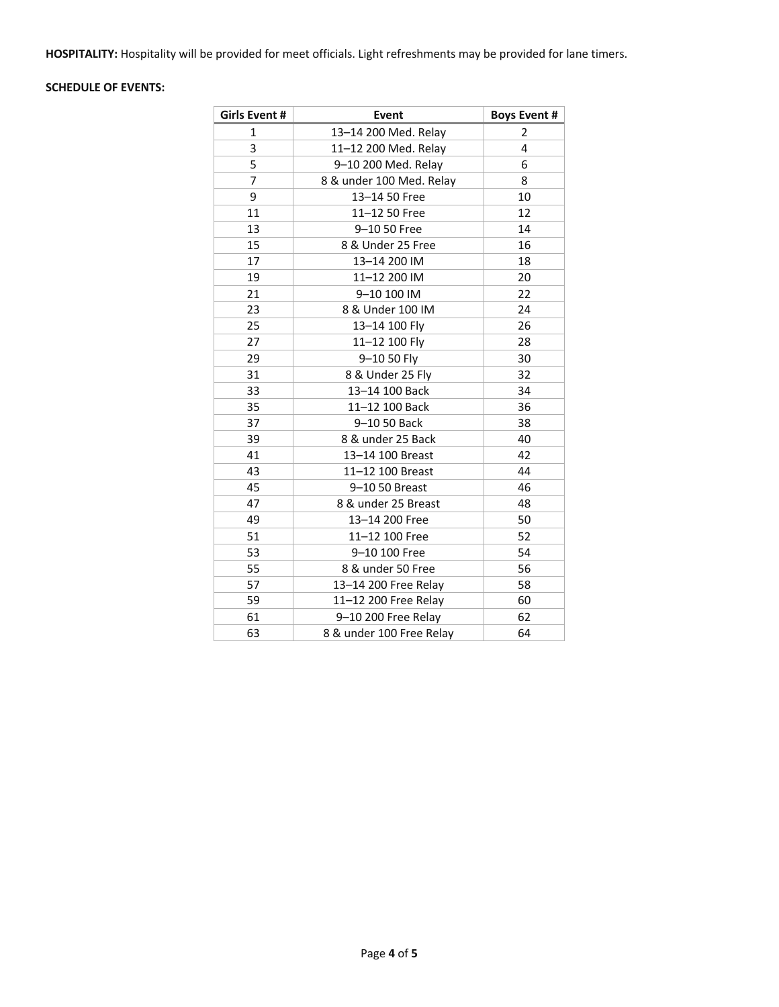**HOSPITALITY:** Hospitality will be provided for meet officials. Light refreshments may be provided for lane timers.

## **SCHEDULE OF EVENTS:**

| Girls Event # | Event                    | <b>Boys Event #</b> |
|---------------|--------------------------|---------------------|
| $\mathbf{1}$  | 13-14 200 Med. Relay     | 2                   |
| 3             | 11-12 200 Med. Relay     | 4                   |
| 5             | 9-10 200 Med. Relay      | 6                   |
| 7             | 8 & under 100 Med. Relay | 8                   |
| 9             | 13-14 50 Free            | 10                  |
| 11            | 11-12 50 Free            | 12                  |
| 13            | 9-10 50 Free             | 14                  |
| 15            | 8 & Under 25 Free        | 16                  |
| 17            | 13-14 200 IM             | 18                  |
| 19            | 11-12 200 IM             | 20                  |
| 21            | 9-10 100 IM              | 22                  |
| 23            | 8 & Under 100 IM         | 24                  |
| 25            | 13-14 100 Fly            | 26                  |
| 27            | 11-12 100 Fly            | 28                  |
| 29            | 9-10 50 Fly              | 30                  |
| 31            | 8 & Under 25 Fly         | 32                  |
| 33            | 13-14 100 Back           | 34                  |
| 35            | 11-12 100 Back           | 36                  |
| 37            | 9-10 50 Back             | 38                  |
| 39            | 8 & under 25 Back        | 40                  |
| 41            | 13-14 100 Breast         | 42                  |
| 43            | 11-12 100 Breast         | 44                  |
| 45            | 9-10 50 Breast           | 46                  |
| 47            | 8 & under 25 Breast      | 48                  |
| 49            | 13-14 200 Free           | 50                  |
| 51            | 11-12 100 Free           | 52                  |
| 53            | 9-10 100 Free            | 54                  |
| 55            | 8 & under 50 Free        | 56                  |
| 57            | 13-14 200 Free Relay     | 58                  |
| 59            | 11-12 200 Free Relay     | 60                  |
| 61            | 9-10 200 Free Relay      | 62                  |
| 63            | 8 & under 100 Free Relay | 64                  |